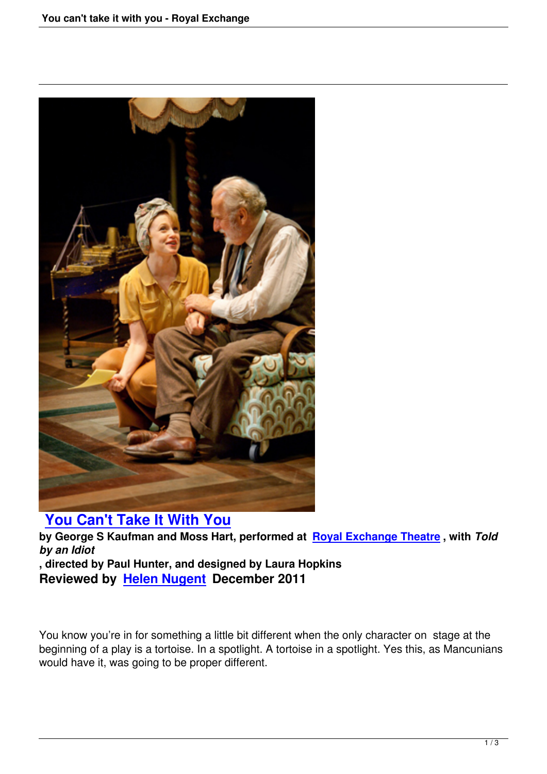

## **You Can't Take It With You**

**by George S Kaufman and Moss Hart, performed at Royal Exchange Theatre , with** *Told by an Idiot* **, [directed by Paul Hunter, and design](you-cant-take-it-with-you.html)ed by Laura Hopkins Reviewed by Helen Nugent December 2011**

You know you're [in for something a](speakers.html#helen-nugent) little bit different when the only character on stage at the beginning of a play is a tortoise. In a spotlight. A tortoise in a spotlight. Yes this, as Mancunians would have it, was going to be proper different.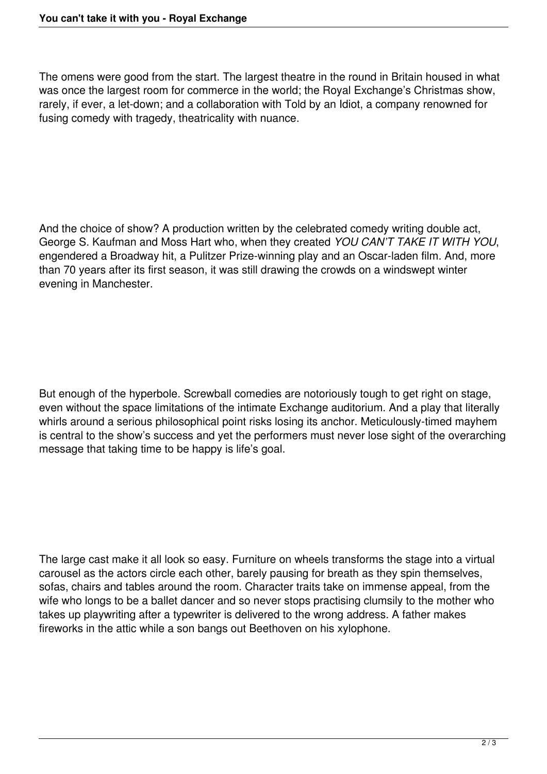The omens were good from the start. The largest theatre in the round in Britain housed in what was once the largest room for commerce in the world; the Royal Exchange's Christmas show, rarely, if ever, a let-down; and a collaboration with Told by an Idiot, a company renowned for fusing comedy with tragedy, theatricality with nuance.

And the choice of show? A production written by the celebrated comedy writing double act, George S. Kaufman and Moss Hart who, when they created *YOU CAN'T TAKE IT WITH YOU*, engendered a Broadway hit, a Pulitzer Prize-winning play and an Oscar-laden film. And, more than 70 years after its first season, it was still drawing the crowds on a windswept winter evening in Manchester.

But enough of the hyperbole. Screwball comedies are notoriously tough to get right on stage, even without the space limitations of the intimate Exchange auditorium. And a play that literally whirls around a serious philosophical point risks losing its anchor. Meticulously-timed mayhem is central to the show's success and yet the performers must never lose sight of the overarching message that taking time to be happy is life's goal.

The large cast make it all look so easy. Furniture on wheels transforms the stage into a virtual carousel as the actors circle each other, barely pausing for breath as they spin themselves, sofas, chairs and tables around the room. Character traits take on immense appeal, from the wife who longs to be a ballet dancer and so never stops practising clumsily to the mother who takes up playwriting after a typewriter is delivered to the wrong address. A father makes fireworks in the attic while a son bangs out Beethoven on his xylophone.